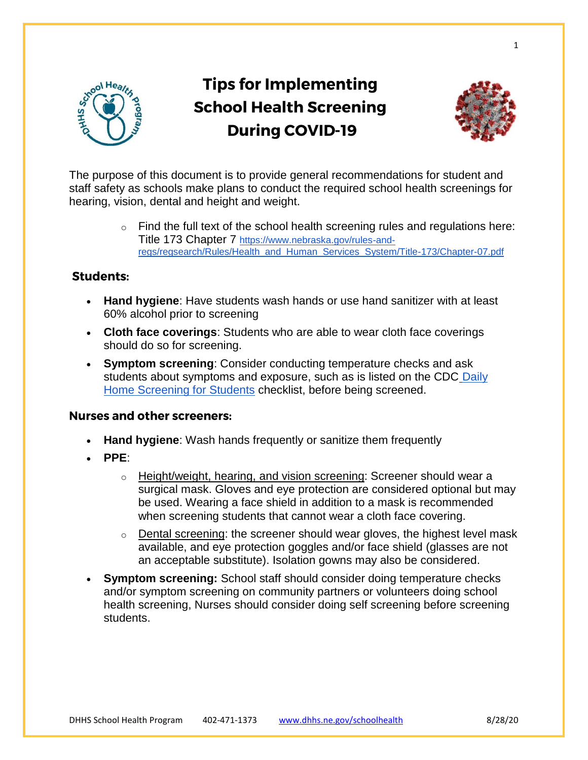

# **Tips for Implementing School Health Screening During COVID-19**



1

The purpose of this document is to provide general recommendations for student and staff safety as schools make plans to conduct the required school health screenings for hearing, vision, dental and height and weight.

> $\circ$  Find the full text of the school health screening rules and regulations here: Title 173 Chapter 7 [https://www.nebraska.gov/rules-and](https://www.nebraska.gov/rules-and-regs/regsearch/Rules/Health_and_Human_Services_System/Title-173/Chapter-07.pdf)[regs/regsearch/Rules/Health\\_and\\_Human\\_Services\\_System/Title-173/Chapter-07.pdf](https://www.nebraska.gov/rules-and-regs/regsearch/Rules/Health_and_Human_Services_System/Title-173/Chapter-07.pdf)

# **Students:**

- **Hand hygiene**: Have students wash hands or use hand sanitizer with at least 60% alcohol prior to screening
- **Cloth face coverings**: Students who are able to wear cloth face coverings should do so for screening.
- **Symptom screening**: Consider conducting temperature checks and ask students about symptoms and exposure, such as is listed on the CDC [Daily](https://www.cdc.gov/coronavirus/2019-ncov/downloads/community/schools-childcare/Daily-Home-Screening-for-Students-Checklist-ACTIVE-rev5A.pdf)  [Home Screening for Students](https://www.cdc.gov/coronavirus/2019-ncov/downloads/community/schools-childcare/Daily-Home-Screening-for-Students-Checklist-ACTIVE-rev5A.pdf) checklist, before being screened.

# **Nurses and other screeners:**

- **Hand hygiene**: Wash hands frequently or sanitize them frequently
- **PPE**:
	- $\circ$  Height/weight, hearing, and vision screening: Screener should wear a surgical mask. Gloves and eye protection are considered optional but may be used. Wearing a face shield in addition to a mask is recommended when screening students that cannot wear a cloth face covering.
	- $\circ$  Dental screening: the screener should wear gloves, the highest level mask available, and eye protection goggles and/or face shield (glasses are not an acceptable substitute). Isolation gowns may also be considered.
- **Symptom screening:** School staff should consider doing temperature checks and/or symptom screening on community partners or volunteers doing school health screening, Nurses should consider doing self screening before screening students.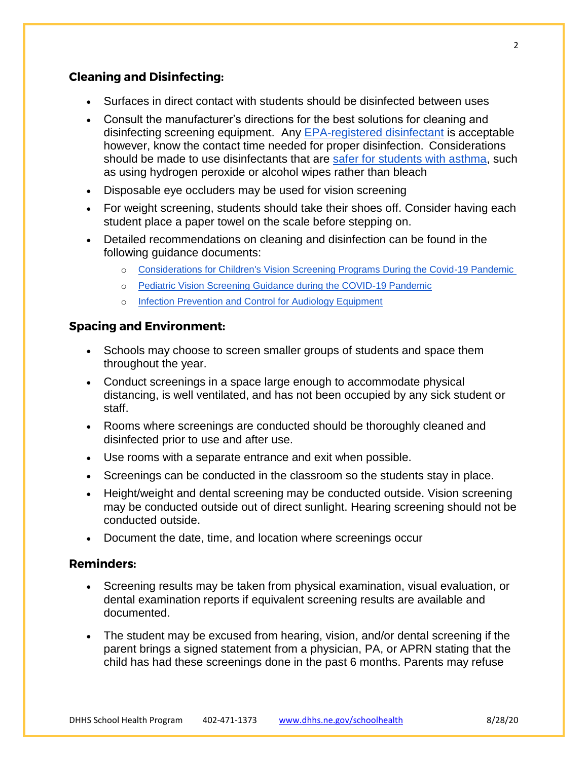## **Cleaning and Disinfecting:**

- Surfaces in direct contact with students should be disinfected between uses
- Consult the manufacturer's directions for the best solutions for cleaning and disinfecting screening equipment. Any [EPA-registered disinfectant](https://www.epa.gov/pesticide-registration/list-n-disinfectants-use-against-sars-cov-2-covid-19) is acceptable however, know the contact time needed for proper disinfection. Considerations should be made to use disinfectants that are [safer for students with asthma,](https://www.cdc.gov/asthma/triggers.html?CDC_AA_refVal=https%3A%2F%2Fwww.cdc.gov%2Fasthma%2Freduce_triggers.html) such as using hydrogen peroxide or alcohol wipes rather than bleach
- Disposable eye occluders may be used for vision screening
- For weight screening, students should take their shoes off. Consider having each student place a paper towel on the scale before stepping on.
- Detailed recommendations on cleaning and disinfection can be found in the following guidance documents:
	- o [Considerations for Children's Vision Screening Programs During the Covid-19 Pandemic](https://preventblindness.org/covid-19-childrens-vision-screening/#1597935474766-7d9cd38e-0353)
	- o [Pediatric Vision Screening Guidance during the COVID-19 Pandemic](https://higherlogicdownload.s3.amazonaws.com/AAPOS/159c8d7c-f577-4c85-bf77-ac8e4f0865bd/UploadedImages/Documents/AAPOS-Vision-Screening-COVID.pdf)
	- o [Infection Prevention and Control for Audiology Equipment](https://www.asha.org/uploadedFiles/Infection-Prevention-and-Control-for-Audiology-Equipment.pdf)

#### **Spacing and Environment:**

- Schools may choose to screen smaller groups of students and space them throughout the year.
- Conduct screenings in a space large enough to accommodate physical distancing, is well ventilated, and has not been occupied by any sick student or staff.
- Rooms where screenings are conducted should be thoroughly cleaned and disinfected prior to use and after use.
- Use rooms with a separate entrance and exit when possible.
- Screenings can be conducted in the classroom so the students stay in place.
- Height/weight and dental screening may be conducted outside. Vision screening may be conducted outside out of direct sunlight. Hearing screening should not be conducted outside.
- Document the date, time, and location where screenings occur

#### **Reminders:**

- Screening results may be taken from physical examination, visual evaluation, or dental examination reports if equivalent screening results are available and documented.
- The student may be excused from hearing, vision, and/or dental screening if the parent brings a signed statement from a physician, PA, or APRN stating that the child has had these screenings done in the past 6 months. Parents may refuse